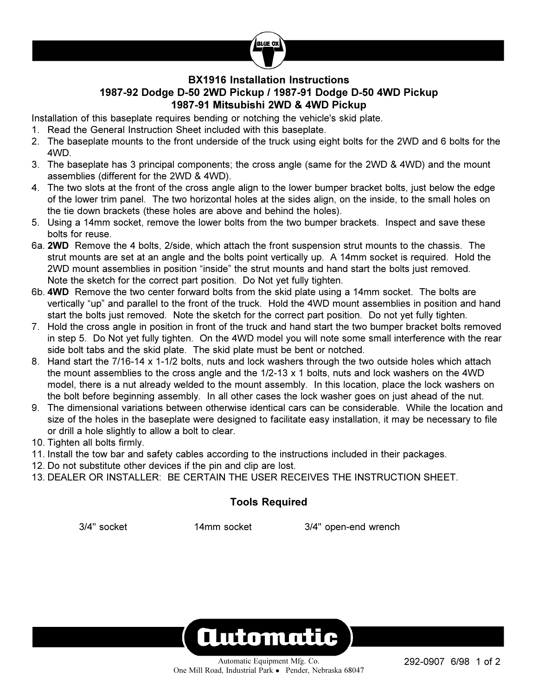

## **BX1916 Installation Instructions 1987-92 Dodge D-50 2WD Pickup / 1987-91 Dodge D-50 4WD Pickup 1987-91 Mitsubishi 2WD & 4WD Pickup**

Installation of this baseplate requires bending or notching the vehicle's skid plate.

- 1. Read the General Instruction Sheet included with this baseplate.
- 2. The baseplate mounts to the front underside of the truck using eight bolts for the 2WD and 6 bolts for the 4WD.
- 3. The baseplate has 3 principal components; the cross angle (same for the 2WD & 4WD) and the mount assemblies (different for the 2WD & 4WD).
- 4. The two slots at the front of the cross angle align to the lower bumper bracket bolts, just below the edge of the lower trim panel. The two horizontal holes at the sides align, on the inside, to the small holes on the tie down brackets (these holes are above and behind the holes).
- 5. Using a 14mm socket, remove the lower bolts from the two bumper brackets. Inspect and save these bolts for reuse.
- 6a. **2WD** Remove the 4 bolts, 2/side, which attach the front suspension strut mounts to the chassis. The strut mounts are set at an angle and the bolts point vertically up. A 14mm socket is required. Hold the 2WD mount assemblies in position "inside" the strut mounts and hand start the bolts just removed. Note the sketch for the correct part position. Do Not yet fully tighten.
- 6b. **4WD** Remove the two center forward bolts from the skid plate using a 14mm socket. The bolts are vertically "up" and parallel to the front of the truck. Hold the 4WD mount assemblies in position and hand start the bolts just removed. Note the sketch for the correct part position. Do not yet fully tighten.
- 7. Hold the cross angle in position in front of the truck and hand start the two bumper bracket bolts removed in step 5. Do Not yet fully tighten. On the 4WD model you will note some small interference with the rear side bolt tabs and the skid plate. The skid plate must be bent or notched.
- 8. Hand start the 7/16-14 x 1-1/2 bolts, nuts and lock washers through the two outside holes which attach the mount assemblies to the cross angle and the 1/2-13 x 1 bolts, nuts and lock washers on the 4WD model, there is a nut already welded to the mount assembly. In this location, place the lock washers on the bolt before beginning assembly. In all other cases the lock washer goes on just ahead of the nut.
- 9. The dimensional variations between otherwise identical cars can be considerable. While the location and size of the holes in the baseplate were designed to facilitate easy installation, it may be necessary to file or drill a hole slightly to allow a bolt to clear.
- 10. Tighten all bolts firmly.
- 11. Install the tow bar and safety cables according to the instructions included in their packages.
- 12. Do not substitute other devices if the pin and clip are lost.
- 13. DEALER OR INSTALLER: BE CERTAIN THE USER RECEIVES THE INSTRUCTION SHEET.

## **Tools Required**

3/4" socket 14mm socket 3/4" open-end wrench